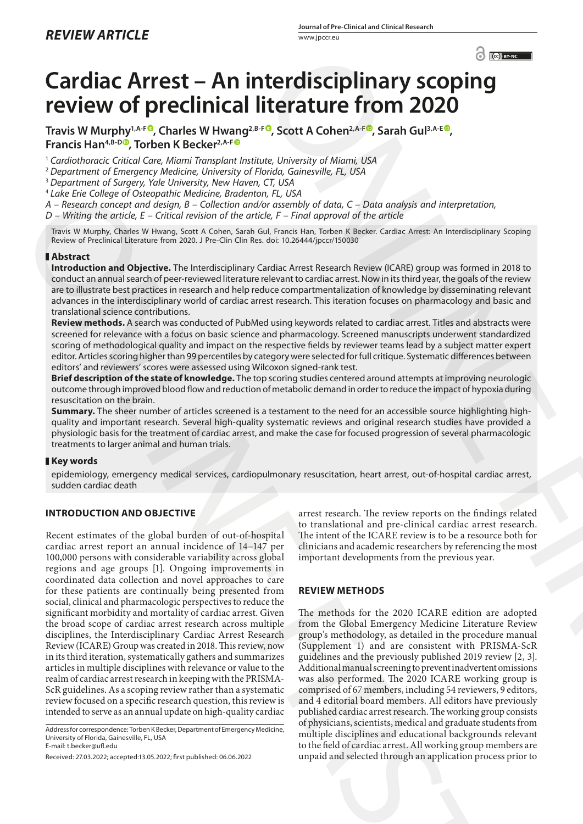# **Cardiac Arrest – An interdisciplinary scoping review of preclinical literature from 2020**

Travis W Murphy<sup>1,A-[F](https://orcid.org/0000-0001-8985-7518)®</sup>, Charles W Hwang<sup>2,B-F®</sup>, Scott A Cohen<sup>2,A-F®</sup>, Sarah Gul<sup>3,A-E®</sup>, **Francis Han<sup>4,B-D</sup><sup>O</sup>, Torben K Becker<sup>2,A-F</sup><sup>O</sup>** 

<sup>1</sup> *Cardiothoracic Critical Care, Miami Transplant Institute, University of Miami, USA*

<sup>2</sup> *Department of Emergency Medicine, University of Florida, Gainesville, FL, USA*

<sup>3</sup> *Department of Surgery, Yale University, New Haven, CT, USA*

<sup>4</sup> *Lake Erie College of Osteopathic Medicine, Bradenton, FL, USA*

*A – Research concept and design, B – Collection and/or assembly of data, C – Data analysis and interpretation,* 

*D – Writing the article, E – Critical revision of the article, F – Final approval of the article*

Travis W Murphy, Charles W Hwang, Scott A Cohen, Sarah Gul, Francis Han, Torben K Becker. Cardiac Arrest: An Interdisciplinary Scoping Review of Preclinical Literature from 2020. J Pre-Clin Clin Res. doi: 10.26444/jpccr/150030

## **Abstract**

**Introduction and Objective.** The Interdisciplinary Cardiac Arrest Research Review (ICARE) group was formed in 2018 to conduct an annual search of peer-reviewed literature relevant to cardiac arrest. Now in its third year, the goals of the review are to illustrate best practices in research and help reduce compartmentalization of knowledge by disseminating relevant advances in the interdisciplinary world of cardiac arrest research. This iteration focuses on pharmacology and basic and translational science contributions.

**Review methods.** A search was conducted of PubMed using keywords related to cardiac arrest. Titles and abstracts were screened for relevance with a focus on basic science and pharmacology. Screened manuscripts underwent standardized scoring of methodological quality and impact on the respective fields by reviewer teams lead by a subject matter expert editor. Articles scoring higher than 99 percentiles by category were selected for full critique. Systematic differences between editors' and reviewers' scores were assessed using Wilcoxon signed-rank test.

**Brief description of the state of knowledge.** The top scoring studies centered around attempts at improving neurologic outcome through improved blood flow and reduction of metabolic demand in order to reduce the impact of hypoxia during resuscitation on the brain.

**Summary.** The sheer number of articles screened is a testament to the need for an accessible source highlighting highquality and important research. Several high-quality systematic reviews and original research studies have provided a physiologic basis for the treatment of cardiac arrest, and make the case for focused progression of several pharmacologic treatments to larger animal and human trials.

## **Key words**

epidemiology, emergency medical services, cardiopulmonary resuscitation, heart arrest, out-of-hospital cardiac arrest, sudden cardiac death

# **INTRODUCTION AND OBJECTIVE**

Recent estimates of the global burden of out-of-hospital cardiac arrest report an annual incidence of 14–147 per 100,000 persons with considerable variability across global regions and age groups [1]. Ongoing improvements in coordinated data collection and novel approaches to care for these patients are continually being presented from social, clinical and pharmacologic perspectives to reduce the significant morbidity and mortality of cardiac arrest. Given the broad scope of cardiac arrest research across multiple disciplines, the Interdisciplinary Cardiac Arrest Research Review (ICARE) Group was created in 2018. This review, now in its third iteration, systematically gathers and summarizes articles in multiple disciplines with relevance or value to the realm of cardiac arrest research in keeping with the PRISMA-ScR guidelines. As a scoping review rather than a systematic review focused on a specific research question, this review is intended to serve as an annual update on high-quality cardiac First are Compare of Distribution in Red Participa and the set of the set of the set of the set of the set of the set of the set of the set of the set of the set of the set of the set of the set of the set of the set of t

Address for correspondence: Torben K Becker, Department of Emergency Medicine, University of Florida, Gainesville, FL, USA E-mail: t.becker@ufl.edu

Received: 27.03.2022; accepted:13.05.2022; first published: 06.06.2022

arrest research. The review reports on the findings related to translational and pre-clinical cardiac arrest research. The intent of the ICARE review is to be a resource both for clinicians and academic researchers by referencing the most important developments from the previous year.

# **REVIEW METHODS**

The methods for the 2020 ICARE edition are adopted from the Global Emergency Medicine Literature Review group's methodology, as detailed in the procedure manual (Supplement 1) and are consistent with PRISMA-ScR guidelines and the previously published 2019 review [2, 3]. Additional manual screening to prevent inadvertent omissions was also performed. The 2020 ICARE working group is comprised of 67 members, including 54 reviewers, 9 editors, and 4 editorial board members. All editors have previously published cardiac arrest research. The working group consists of physicians, scientists, medical and graduate students from multiple disciplines and educational backgrounds relevant to the field of cardiac arrest. All working group members are unpaid and selected through an application process prior to  $^{\circ}$  ( $^{\circ}$ From the Charlier and the Charlier and the previous particle and the properties of the charlier state of the charlier state of the distribution of the distribution of the charlier state of the charlier state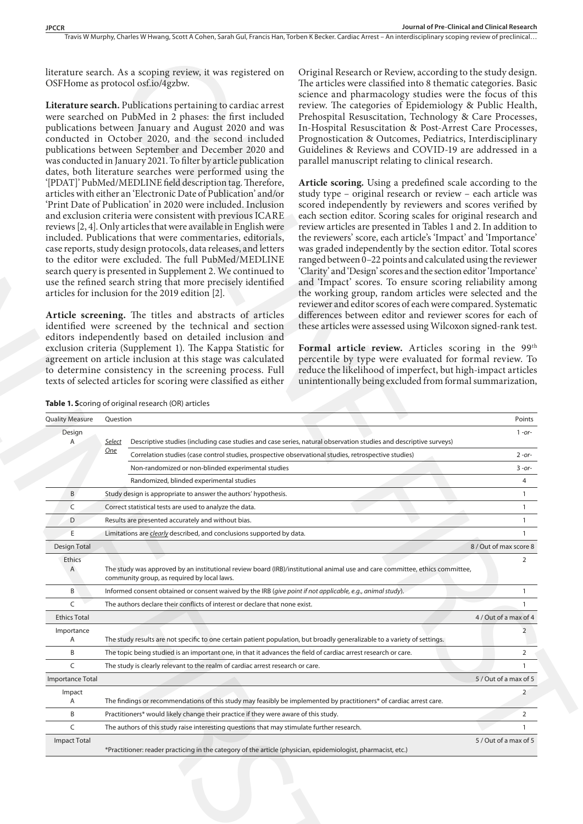Travis W Murphy, Charles W Hwang, Scott A Cohen, Sarah Gul, Francis Han, Torben K Becker, Cardiac Arrest – An interdisciplinary scoping review of preclinical...

|                        | literature search. As a scoping review, it was registered on<br>OSFHome as protocol osf.io/4gzbw.<br>Literature search. Publications pertaining to cardiac arrest<br>were searched on PubMed in 2 phases: the first included<br>publications between January and August 2020 and was<br>conducted in October 2020, and the second included<br>publications between September and December 2020 and<br>was conducted in January 2021. To filter by article publication<br>dates, both literature searches were performed using the<br>'[PDAT]' PubMed/MEDLINE field description tag. Therefore,<br>articles with either an 'Electronic Date of Publication' and/or<br>'Print Date of Publication' in 2020 were included. Inclusion<br>and exclusion criteria were consistent with previous ICARE<br>reviews [2, 4]. Only articles that were available in English were<br>included. Publications that were commentaries, editorials,<br>case reports, study design protocols, data releases, and letters<br>to the editor were excluded. The full PubMed/MEDLINE<br>search query is presented in Supplement 2. We continued to<br>use the refined search string that more precisely identified<br>articles for inclusion for the 2019 edition [2].<br>Article screening. The titles and abstracts of articles<br>identified were screened by the technical and section<br>editors independently based on detailed inclusion and<br>exclusion criteria (Supplement 1). The Kappa Statistic for<br>agreement on article inclusion at this stage was calculated | Original Research or Review, according to the study design.<br>The articles were classified into 8 thematic categories. Basic<br>science and pharmacology studies were the focus of this<br>review. The categories of Epidemiology & Public Health,<br>Prehospital Resuscitation, Technology & Care Processes,<br>In-Hospital Resuscitation & Post-Arrest Care Processes,<br>Prognostication & Outcomes, Pediatrics, Interdisciplinary<br>Guidelines & Reviews and COVID-19 are addressed in a<br>parallel manuscript relating to clinical research.<br>Article scoring. Using a predefined scale according to the<br>study type - original research or review - each article was<br>scored independently by reviewers and scores verified by<br>each section editor. Scoring scales for original research and<br>review articles are presented in Tables 1 and 2. In addition to<br>the reviewers' score, each article's 'Impact' and 'Importance'<br>was graded independently by the section editor. Total scores<br>ranged between 0-22 points and calculated using the reviewer<br>'Clarity' and 'Design' scores and the section editor 'Importance'<br>and 'Impact' scores. To ensure scoring reliability among<br>the working group, random articles were selected and the<br>reviewer and editor scores of each were compared. Systematic<br>differences between editor and reviewer scores for each of<br>these articles were assessed using Wilcoxon signed-rank test.<br>Formal article review. Articles scoring in the 99 <sup>th</sup><br>percentile by type were evaluated for formal review. To |                                          |
|------------------------|------------------------------------------------------------------------------------------------------------------------------------------------------------------------------------------------------------------------------------------------------------------------------------------------------------------------------------------------------------------------------------------------------------------------------------------------------------------------------------------------------------------------------------------------------------------------------------------------------------------------------------------------------------------------------------------------------------------------------------------------------------------------------------------------------------------------------------------------------------------------------------------------------------------------------------------------------------------------------------------------------------------------------------------------------------------------------------------------------------------------------------------------------------------------------------------------------------------------------------------------------------------------------------------------------------------------------------------------------------------------------------------------------------------------------------------------------------------------------------------------------------------------------------------------------------|---------------------------------------------------------------------------------------------------------------------------------------------------------------------------------------------------------------------------------------------------------------------------------------------------------------------------------------------------------------------------------------------------------------------------------------------------------------------------------------------------------------------------------------------------------------------------------------------------------------------------------------------------------------------------------------------------------------------------------------------------------------------------------------------------------------------------------------------------------------------------------------------------------------------------------------------------------------------------------------------------------------------------------------------------------------------------------------------------------------------------------------------------------------------------------------------------------------------------------------------------------------------------------------------------------------------------------------------------------------------------------------------------------------------------------------------------------------------------------------------------------------------------------------------------------------------------------------------------------------|------------------------------------------|
|                        | to determine consistency in the screening process. Full<br>texts of selected articles for scoring were classified as either                                                                                                                                                                                                                                                                                                                                                                                                                                                                                                                                                                                                                                                                                                                                                                                                                                                                                                                                                                                                                                                                                                                                                                                                                                                                                                                                                                                                                                | reduce the likelihood of imperfect, but high-impact articles<br>unintentionally being excluded from formal summarization,                                                                                                                                                                                                                                                                                                                                                                                                                                                                                                                                                                                                                                                                                                                                                                                                                                                                                                                                                                                                                                                                                                                                                                                                                                                                                                                                                                                                                                                                                     |                                          |
|                        | Table 1. Scoring of original research (OR) articles                                                                                                                                                                                                                                                                                                                                                                                                                                                                                                                                                                                                                                                                                                                                                                                                                                                                                                                                                                                                                                                                                                                                                                                                                                                                                                                                                                                                                                                                                                        |                                                                                                                                                                                                                                                                                                                                                                                                                                                                                                                                                                                                                                                                                                                                                                                                                                                                                                                                                                                                                                                                                                                                                                                                                                                                                                                                                                                                                                                                                                                                                                                                               |                                          |
| <b>Quality Measure</b> | Question                                                                                                                                                                                                                                                                                                                                                                                                                                                                                                                                                                                                                                                                                                                                                                                                                                                                                                                                                                                                                                                                                                                                                                                                                                                                                                                                                                                                                                                                                                                                                   |                                                                                                                                                                                                                                                                                                                                                                                                                                                                                                                                                                                                                                                                                                                                                                                                                                                                                                                                                                                                                                                                                                                                                                                                                                                                                                                                                                                                                                                                                                                                                                                                               | Points                                   |
| Design                 |                                                                                                                                                                                                                                                                                                                                                                                                                                                                                                                                                                                                                                                                                                                                                                                                                                                                                                                                                                                                                                                                                                                                                                                                                                                                                                                                                                                                                                                                                                                                                            |                                                                                                                                                                                                                                                                                                                                                                                                                                                                                                                                                                                                                                                                                                                                                                                                                                                                                                                                                                                                                                                                                                                                                                                                                                                                                                                                                                                                                                                                                                                                                                                                               | $1 - or-$                                |
| A                      | Select<br><b>One</b>                                                                                                                                                                                                                                                                                                                                                                                                                                                                                                                                                                                                                                                                                                                                                                                                                                                                                                                                                                                                                                                                                                                                                                                                                                                                                                                                                                                                                                                                                                                                       | Descriptive studies (including case studies and case series, natural observation studies and descriptive surveys)                                                                                                                                                                                                                                                                                                                                                                                                                                                                                                                                                                                                                                                                                                                                                                                                                                                                                                                                                                                                                                                                                                                                                                                                                                                                                                                                                                                                                                                                                             |                                          |
|                        | Correlation studies (case control studies, prospective observational studies, retrospective studies)                                                                                                                                                                                                                                                                                                                                                                                                                                                                                                                                                                                                                                                                                                                                                                                                                                                                                                                                                                                                                                                                                                                                                                                                                                                                                                                                                                                                                                                       |                                                                                                                                                                                                                                                                                                                                                                                                                                                                                                                                                                                                                                                                                                                                                                                                                                                                                                                                                                                                                                                                                                                                                                                                                                                                                                                                                                                                                                                                                                                                                                                                               | $2 - or -$                               |
|                        | Non-randomized or non-blinded experimental studies                                                                                                                                                                                                                                                                                                                                                                                                                                                                                                                                                                                                                                                                                                                                                                                                                                                                                                                                                                                                                                                                                                                                                                                                                                                                                                                                                                                                                                                                                                         |                                                                                                                                                                                                                                                                                                                                                                                                                                                                                                                                                                                                                                                                                                                                                                                                                                                                                                                                                                                                                                                                                                                                                                                                                                                                                                                                                                                                                                                                                                                                                                                                               | $3 - or-$                                |
|                        | Randomized, blinded experimental studies                                                                                                                                                                                                                                                                                                                                                                                                                                                                                                                                                                                                                                                                                                                                                                                                                                                                                                                                                                                                                                                                                                                                                                                                                                                                                                                                                                                                                                                                                                                   |                                                                                                                                                                                                                                                                                                                                                                                                                                                                                                                                                                                                                                                                                                                                                                                                                                                                                                                                                                                                                                                                                                                                                                                                                                                                                                                                                                                                                                                                                                                                                                                                               | 4                                        |
| B                      | Study design is appropriate to answer the authors' hypothesis.                                                                                                                                                                                                                                                                                                                                                                                                                                                                                                                                                                                                                                                                                                                                                                                                                                                                                                                                                                                                                                                                                                                                                                                                                                                                                                                                                                                                                                                                                             |                                                                                                                                                                                                                                                                                                                                                                                                                                                                                                                                                                                                                                                                                                                                                                                                                                                                                                                                                                                                                                                                                                                                                                                                                                                                                                                                                                                                                                                                                                                                                                                                               | $\mathbf{1}$                             |
| C                      | Correct statistical tests are used to analyze the data.                                                                                                                                                                                                                                                                                                                                                                                                                                                                                                                                                                                                                                                                                                                                                                                                                                                                                                                                                                                                                                                                                                                                                                                                                                                                                                                                                                                                                                                                                                    |                                                                                                                                                                                                                                                                                                                                                                                                                                                                                                                                                                                                                                                                                                                                                                                                                                                                                                                                                                                                                                                                                                                                                                                                                                                                                                                                                                                                                                                                                                                                                                                                               |                                          |
| D                      | Results are presented accurately and without bias.                                                                                                                                                                                                                                                                                                                                                                                                                                                                                                                                                                                                                                                                                                                                                                                                                                                                                                                                                                                                                                                                                                                                                                                                                                                                                                                                                                                                                                                                                                         |                                                                                                                                                                                                                                                                                                                                                                                                                                                                                                                                                                                                                                                                                                                                                                                                                                                                                                                                                                                                                                                                                                                                                                                                                                                                                                                                                                                                                                                                                                                                                                                                               |                                          |
| E                      | Limitations are <i>clearly</i> described, and conclusions supported by data.                                                                                                                                                                                                                                                                                                                                                                                                                                                                                                                                                                                                                                                                                                                                                                                                                                                                                                                                                                                                                                                                                                                                                                                                                                                                                                                                                                                                                                                                               |                                                                                                                                                                                                                                                                                                                                                                                                                                                                                                                                                                                                                                                                                                                                                                                                                                                                                                                                                                                                                                                                                                                                                                                                                                                                                                                                                                                                                                                                                                                                                                                                               |                                          |
| Design Total           |                                                                                                                                                                                                                                                                                                                                                                                                                                                                                                                                                                                                                                                                                                                                                                                                                                                                                                                                                                                                                                                                                                                                                                                                                                                                                                                                                                                                                                                                                                                                                            |                                                                                                                                                                                                                                                                                                                                                                                                                                                                                                                                                                                                                                                                                                                                                                                                                                                                                                                                                                                                                                                                                                                                                                                                                                                                                                                                                                                                                                                                                                                                                                                                               | 8 / Out of max score 8<br>$\overline{2}$ |
| Ethics<br>A            | The study was approved by an institutional review board (IRB)/institutional animal use and care committee, ethics committee,<br>community group, as required by local laws.                                                                                                                                                                                                                                                                                                                                                                                                                                                                                                                                                                                                                                                                                                                                                                                                                                                                                                                                                                                                                                                                                                                                                                                                                                                                                                                                                                                |                                                                                                                                                                                                                                                                                                                                                                                                                                                                                                                                                                                                                                                                                                                                                                                                                                                                                                                                                                                                                                                                                                                                                                                                                                                                                                                                                                                                                                                                                                                                                                                                               |                                          |
| B                      | Informed consent obtained or consent waived by the IRB (give point if not applicable, e.g., animal study).                                                                                                                                                                                                                                                                                                                                                                                                                                                                                                                                                                                                                                                                                                                                                                                                                                                                                                                                                                                                                                                                                                                                                                                                                                                                                                                                                                                                                                                 |                                                                                                                                                                                                                                                                                                                                                                                                                                                                                                                                                                                                                                                                                                                                                                                                                                                                                                                                                                                                                                                                                                                                                                                                                                                                                                                                                                                                                                                                                                                                                                                                               | $\overline{1}$                           |
| C                      | The authors declare their conflicts of interest or declare that none exist.                                                                                                                                                                                                                                                                                                                                                                                                                                                                                                                                                                                                                                                                                                                                                                                                                                                                                                                                                                                                                                                                                                                                                                                                                                                                                                                                                                                                                                                                                |                                                                                                                                                                                                                                                                                                                                                                                                                                                                                                                                                                                                                                                                                                                                                                                                                                                                                                                                                                                                                                                                                                                                                                                                                                                                                                                                                                                                                                                                                                                                                                                                               |                                          |
| <b>Ethics Total</b>    |                                                                                                                                                                                                                                                                                                                                                                                                                                                                                                                                                                                                                                                                                                                                                                                                                                                                                                                                                                                                                                                                                                                                                                                                                                                                                                                                                                                                                                                                                                                                                            |                                                                                                                                                                                                                                                                                                                                                                                                                                                                                                                                                                                                                                                                                                                                                                                                                                                                                                                                                                                                                                                                                                                                                                                                                                                                                                                                                                                                                                                                                                                                                                                                               | 4 / Out of a max of 4                    |
|                        |                                                                                                                                                                                                                                                                                                                                                                                                                                                                                                                                                                                                                                                                                                                                                                                                                                                                                                                                                                                                                                                                                                                                                                                                                                                                                                                                                                                                                                                                                                                                                            |                                                                                                                                                                                                                                                                                                                                                                                                                                                                                                                                                                                                                                                                                                                                                                                                                                                                                                                                                                                                                                                                                                                                                                                                                                                                                                                                                                                                                                                                                                                                                                                                               |                                          |
| Importance             |                                                                                                                                                                                                                                                                                                                                                                                                                                                                                                                                                                                                                                                                                                                                                                                                                                                                                                                                                                                                                                                                                                                                                                                                                                                                                                                                                                                                                                                                                                                                                            |                                                                                                                                                                                                                                                                                                                                                                                                                                                                                                                                                                                                                                                                                                                                                                                                                                                                                                                                                                                                                                                                                                                                                                                                                                                                                                                                                                                                                                                                                                                                                                                                               |                                          |
| A                      | The study results are not specific to one certain patient population, but broadly generalizable to a variety of settings.                                                                                                                                                                                                                                                                                                                                                                                                                                                                                                                                                                                                                                                                                                                                                                                                                                                                                                                                                                                                                                                                                                                                                                                                                                                                                                                                                                                                                                  |                                                                                                                                                                                                                                                                                                                                                                                                                                                                                                                                                                                                                                                                                                                                                                                                                                                                                                                                                                                                                                                                                                                                                                                                                                                                                                                                                                                                                                                                                                                                                                                                               |                                          |
| B                      | The topic being studied is an important one, in that it advances the field of cardiac arrest research or care.                                                                                                                                                                                                                                                                                                                                                                                                                                                                                                                                                                                                                                                                                                                                                                                                                                                                                                                                                                                                                                                                                                                                                                                                                                                                                                                                                                                                                                             |                                                                                                                                                                                                                                                                                                                                                                                                                                                                                                                                                                                                                                                                                                                                                                                                                                                                                                                                                                                                                                                                                                                                                                                                                                                                                                                                                                                                                                                                                                                                                                                                               | 2                                        |
| C                      | The study is clearly relevant to the realm of cardiac arrest research or care.                                                                                                                                                                                                                                                                                                                                                                                                                                                                                                                                                                                                                                                                                                                                                                                                                                                                                                                                                                                                                                                                                                                                                                                                                                                                                                                                                                                                                                                                             |                                                                                                                                                                                                                                                                                                                                                                                                                                                                                                                                                                                                                                                                                                                                                                                                                                                                                                                                                                                                                                                                                                                                                                                                                                                                                                                                                                                                                                                                                                                                                                                                               | -1                                       |
| Importance Total       |                                                                                                                                                                                                                                                                                                                                                                                                                                                                                                                                                                                                                                                                                                                                                                                                                                                                                                                                                                                                                                                                                                                                                                                                                                                                                                                                                                                                                                                                                                                                                            |                                                                                                                                                                                                                                                                                                                                                                                                                                                                                                                                                                                                                                                                                                                                                                                                                                                                                                                                                                                                                                                                                                                                                                                                                                                                                                                                                                                                                                                                                                                                                                                                               | 5 / Out of a max of 5                    |
| Impact<br>Α            | The findings or recommendations of this study may feasibly be implemented by practitioners* of cardiac arrest care.                                                                                                                                                                                                                                                                                                                                                                                                                                                                                                                                                                                                                                                                                                                                                                                                                                                                                                                                                                                                                                                                                                                                                                                                                                                                                                                                                                                                                                        |                                                                                                                                                                                                                                                                                                                                                                                                                                                                                                                                                                                                                                                                                                                                                                                                                                                                                                                                                                                                                                                                                                                                                                                                                                                                                                                                                                                                                                                                                                                                                                                                               | $\overline{2}$                           |
| B                      | Practitioners* would likely change their practice if they were aware of this study.                                                                                                                                                                                                                                                                                                                                                                                                                                                                                                                                                                                                                                                                                                                                                                                                                                                                                                                                                                                                                                                                                                                                                                                                                                                                                                                                                                                                                                                                        |                                                                                                                                                                                                                                                                                                                                                                                                                                                                                                                                                                                                                                                                                                                                                                                                                                                                                                                                                                                                                                                                                                                                                                                                                                                                                                                                                                                                                                                                                                                                                                                                               | $\overline{2}$                           |
| C                      | The authors of this study raise interesting questions that may stimulate further research.                                                                                                                                                                                                                                                                                                                                                                                                                                                                                                                                                                                                                                                                                                                                                                                                                                                                                                                                                                                                                                                                                                                                                                                                                                                                                                                                                                                                                                                                 |                                                                                                                                                                                                                                                                                                                                                                                                                                                                                                                                                                                                                                                                                                                                                                                                                                                                                                                                                                                                                                                                                                                                                                                                                                                                                                                                                                                                                                                                                                                                                                                                               | $\mathbf{1}$                             |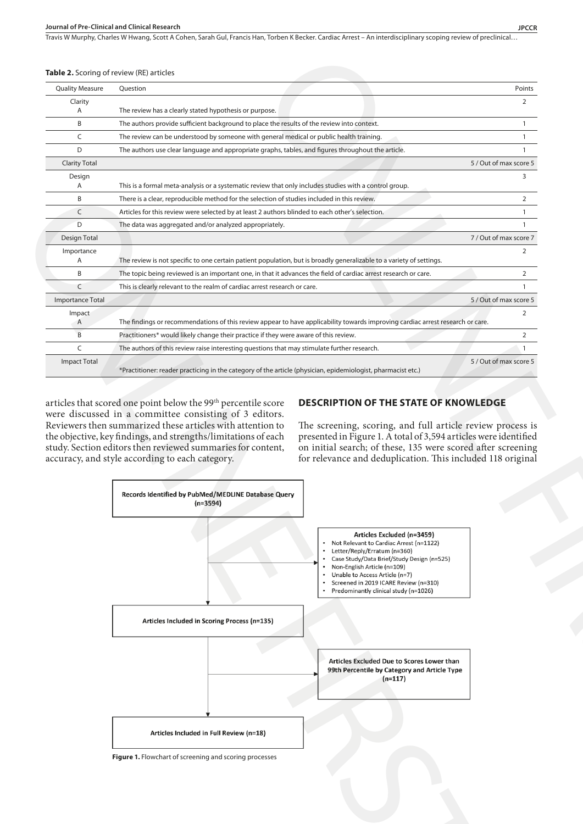Travis W Murphy, Charles W Hwang, Scott A Cohen, Sarah Gul, Francis Han, Torben K Becker. Cardiac Arrest - An interdisciplinary scoping review of preclinical..

#### **Table 2.** Scoring of review (RE) articles

| <b>Quality Measure</b>  | Question                                                                                                                                                                                                                                                                                                                                                                                                                                                                                                                                                               |                        | Points         |
|-------------------------|------------------------------------------------------------------------------------------------------------------------------------------------------------------------------------------------------------------------------------------------------------------------------------------------------------------------------------------------------------------------------------------------------------------------------------------------------------------------------------------------------------------------------------------------------------------------|------------------------|----------------|
| Clarity<br>A            | The review has a clearly stated hypothesis or purpose.                                                                                                                                                                                                                                                                                                                                                                                                                                                                                                                 |                        | 2              |
| B                       | The authors provide sufficient background to place the results of the review into context.                                                                                                                                                                                                                                                                                                                                                                                                                                                                             |                        |                |
| C                       | The review can be understood by someone with general medical or public health training.                                                                                                                                                                                                                                                                                                                                                                                                                                                                                |                        |                |
| D                       | The authors use clear language and appropriate graphs, tables, and figures throughout the article.                                                                                                                                                                                                                                                                                                                                                                                                                                                                     |                        |                |
| <b>Clarity Total</b>    |                                                                                                                                                                                                                                                                                                                                                                                                                                                                                                                                                                        | 5 / Out of max score 5 |                |
| Design                  |                                                                                                                                                                                                                                                                                                                                                                                                                                                                                                                                                                        |                        | 3              |
| A                       | This is a formal meta-analysis or a systematic review that only includes studies with a control group.                                                                                                                                                                                                                                                                                                                                                                                                                                                                 |                        |                |
| B                       | There is a clear, reproducible method for the selection of studies included in this review.                                                                                                                                                                                                                                                                                                                                                                                                                                                                            |                        | $\overline{2}$ |
| C                       | Articles for this review were selected by at least 2 authors blinded to each other's selection.                                                                                                                                                                                                                                                                                                                                                                                                                                                                        |                        | $\mathbf{1}$   |
| D                       | The data was aggregated and/or analyzed appropriately.                                                                                                                                                                                                                                                                                                                                                                                                                                                                                                                 |                        |                |
| Design Total            |                                                                                                                                                                                                                                                                                                                                                                                                                                                                                                                                                                        | 7 / Out of max score 7 |                |
| Importance<br>A         | The review is not specific to one certain patient population, but is broadly generalizable to a variety of settings.                                                                                                                                                                                                                                                                                                                                                                                                                                                   |                        | 2              |
| B                       | The topic being reviewed is an important one, in that it advances the field of cardiac arrest research or care.                                                                                                                                                                                                                                                                                                                                                                                                                                                        |                        | 2              |
| C                       | This is clearly relevant to the realm of cardiac arrest research or care.                                                                                                                                                                                                                                                                                                                                                                                                                                                                                              |                        |                |
| <b>Importance Total</b> |                                                                                                                                                                                                                                                                                                                                                                                                                                                                                                                                                                        | 5 / Out of max score 5 |                |
| Impact                  |                                                                                                                                                                                                                                                                                                                                                                                                                                                                                                                                                                        |                        | 2              |
| A                       | The findings or recommendations of this review appear to have applicability towards improving cardiac arrest research or care.                                                                                                                                                                                                                                                                                                                                                                                                                                         |                        |                |
| B                       | Practitioners* would likely change their practice if they were aware of this review.                                                                                                                                                                                                                                                                                                                                                                                                                                                                                   |                        | 2              |
| $\mathsf{C}$            | The authors of this review raise interesting questions that may stimulate further research.                                                                                                                                                                                                                                                                                                                                                                                                                                                                            |                        |                |
| <b>Impact Total</b>     |                                                                                                                                                                                                                                                                                                                                                                                                                                                                                                                                                                        | 5 / Out of max score 5 |                |
|                         | *Practitioner: reader practicing in the category of the article (physician, epidemiologist, pharmacist etc.)<br>articles that scored one point below the 99 <sup>th</sup> percentile score<br><b>DESCRIPTION OF THE STATE OF KNOWLEDGE</b><br>were discussed in a committee consisting of 3 editors.<br>Reviewers then summarized these articles with attention to<br>The screening, scoring, and full article review process is<br>presented in Figure 1. A total of 3,594 articles were identified<br>the objective, key findings, and strengths/limitations of each |                        |                |
|                         | study. Section editors then reviewed summaries for content,<br>on initial search; of these, 135 were scored after screening<br>accuracy, and style according to each category.<br>for relevance and deduplication. This included 118 original                                                                                                                                                                                                                                                                                                                          |                        |                |
|                         | Records Identified by PubMed/MEDLINE Database Query<br>(n=3594)<br>Articles Excluded (n=3459)<br>Not Relevant to Cardiac Arrest (n=1122)                                                                                                                                                                                                                                                                                                                                                                                                                               |                        |                |
|                         | • Letter/Reply/Erratum (n=360)<br>• Case Study/Data Brief/Study Design (n=525)<br>Non-English Article (n=109)<br>• Unable to Access Article (n=7)<br>* Screened in 2019 ICARE Review (n=310)<br>$\bullet$<br>Predominantly clinical study (n=1026)                                                                                                                                                                                                                                                                                                                     |                        |                |
|                         | Articles Included in Scoring Process (n=135)<br>Articles Excluded Due to Scores Lower than<br>99th Percentile by Category and Article Type                                                                                                                                                                                                                                                                                                                                                                                                                             |                        |                |
|                         | $(n=117)$                                                                                                                                                                                                                                                                                                                                                                                                                                                                                                                                                              |                        |                |

# **DESCRIPTION OF THE STATE OF KNOWLEDGE**

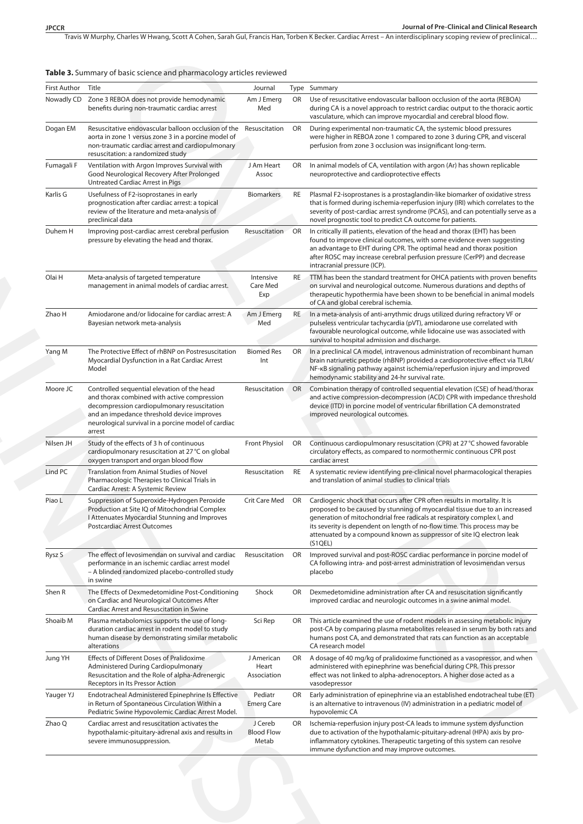Travis W Murphy, Charles W Hwang, Scott A Cohen, Sarah Gul, Francis Han, Torben K Becker . Cardiac Arrest – An interdisciplinary scoping review of preclinical…

| First Author Title |                                                                                                                                                                                                                                                          | Journal                               |           | Type Summary                                                                                                                                                                                                                                                                                                                                                                                       |
|--------------------|----------------------------------------------------------------------------------------------------------------------------------------------------------------------------------------------------------------------------------------------------------|---------------------------------------|-----------|----------------------------------------------------------------------------------------------------------------------------------------------------------------------------------------------------------------------------------------------------------------------------------------------------------------------------------------------------------------------------------------------------|
| Nowadly CD         | Zone 3 REBOA does not provide hemodynamic<br>benefits during non-traumatic cardiac arrest                                                                                                                                                                | Am J Emerg<br>Med                     |           | OR Use of resuscitative endovascular balloon occlusion of the aorta (REBOA)<br>during CA is a novel approach to restrict cardiac output to the thoracic aortic<br>vasculature, which can improve myocardial and cerebral blood flow.                                                                                                                                                               |
| Dogan EM           | Resuscitative endovascular balloon occlusion of the<br>aorta in zone 1 versus zone 3 in a porcine model of<br>non-traumatic cardiac arrest and cardiopulmonary<br>resuscitation: a randomized study                                                      | Resuscitation                         | OR        | During experimental non-traumatic CA, the systemic blood pressures<br>were higher in REBOA zone 1 compared to zone 3 during CPR, and visceral<br>perfusion from zone 3 occlusion was insignificant long-term.                                                                                                                                                                                      |
| Fumagali F         | Ventilation with Argon Improves Survival with<br>Good Neurological Recovery After Prolonged<br>Untreated Cardiac Arrest in Pigs                                                                                                                          | J Am Heart<br>Assoc                   | OR        | In animal models of CA, ventilation with argon (Ar) has shown replicable<br>neuroprotective and cardioprotective effects                                                                                                                                                                                                                                                                           |
| Karlis G           | Usefulness of F2-isoprostanes in early<br>prognostication after cardiac arrest: a topical<br>review of the literature and meta-analysis of<br>preclinical data                                                                                           | <b>Biomarkers</b>                     | RE        | Plasmal F2-isoprostanes is a prostaglandin-like biomarker of oxidative stress<br>that is formed during ischemia-reperfusion injury (IRI) which correlates to the<br>severity of post-cardiac arrest syndrome (PCAS), and can potentially serve as a<br>novel prognostic tool to predict CA outcome for patients.                                                                                   |
| Duhem H            | Improving post-cardiac arrest cerebral perfusion<br>pressure by elevating the head and thorax.                                                                                                                                                           | Resuscitation                         | OR        | In critically ill patients, elevation of the head and thorax (EHT) has been<br>found to improve clinical outcomes, with some evidence even suggesting<br>an advantage to EHT during CPR. The optimal head and thorax position<br>after ROSC may increase cerebral perfusion pressure (CerPP) and decrease<br>intracranial pressure (ICP).                                                          |
| Olai H             | Meta-analysis of targeted temperature<br>management in animal models of cardiac arrest.                                                                                                                                                                  | Intensive<br>Care Med<br>Exp          | <b>RE</b> | TTM has been the standard treatment for OHCA patients with proven benefits<br>on survival and neurological outcome. Numerous durations and depths of<br>therapeutic hypothermia have been shown to be beneficial in animal models<br>of CA and global cerebral ischemia.                                                                                                                           |
| Zhao H             | Amiodarone and/or lidocaine for cardiac arrest: A<br>Bayesian network meta-analysis                                                                                                                                                                      | Am J Emerg<br>Med                     | <b>RE</b> | In a meta-analysis of anti-arrythmic drugs utilized during refractory VF or<br>pulseless ventricular tachycardia (pVT), amiodarone use correlated with<br>favourable neurological outcome, while lidocaine use was associated with<br>survival to hospital admission and discharge.                                                                                                                |
| Yang M             | The Protective Effect of rhBNP on Postresuscitation<br>Myocardial Dysfunction in a Rat Cardiac Arrest<br>Model                                                                                                                                           | <b>Biomed Res</b><br>Int              | <b>OR</b> | In a preclinical CA model, intravenous administration of recombinant human<br>brain natriuretic peptide (rhBNP) provided a cardioprotective effect via TLR4/<br>NF-KB signaling pathway against ischemia/reperfusion injury and improved<br>hemodynamic stability and 24-hr survival rate.                                                                                                         |
| Moore JC           | Controlled sequential elevation of the head<br>and thorax combined with active compression<br>decompression cardiopulmonary resuscitation<br>and an impedance threshold device improves<br>neurological survival in a porcine model of cardiac<br>arrest | Resuscitation                         | OR        | Combination therapy of controlled sequential elevation (CSE) of head/thorax<br>and active compression-decompression (ACD) CPR with impedance threshold<br>device (ITD) in porcine model of ventricular fibrillation CA demonstrated<br>improved neurological outcomes.                                                                                                                             |
| Nilsen JH          | Study of the effects of 3 h of continuous<br>cardiopulmonary resuscitation at 27 °C on global<br>oxygen transport and organ blood flow                                                                                                                   | Front Physiol                         | OR        | Continuous cardiopulmonary resuscitation (CPR) at 27 °C showed favorable<br>circulatory effects, as compared to normothermic continuous CPR post<br>cardiac arrest                                                                                                                                                                                                                                 |
| Lind PC            | <b>Translation from Animal Studies of Novel</b><br>Pharmacologic Therapies to Clinical Trials in<br>Cardiac Arrest: A Systemic Review                                                                                                                    | Resuscitation                         | RE        | A systematic review identifying pre-clinical novel pharmacological therapies<br>and translation of animal studies to clinical trials                                                                                                                                                                                                                                                               |
| Piao L             | Suppression of Superoxide-Hydrogen Peroxide<br>Production at Site IQ of Mitochondrial Complex<br>I Attenuates Myocardial Stunning and Improves<br>Postcardiac Arrest Outcomes                                                                            | Crit Care Med OR                      |           | Cardiogenic shock that occurs after CPR often results in mortality. It is<br>proposed to be caused by stunning of myocardial tissue due to an increased<br>generation of mitochondrial free radicals at respiratory complex I, and<br>its severity is dependent on length of no-flow time. This process may be<br>attenuated by a compound known as suppressor of site IQ electron leak<br>(S1QEL) |
| Rysz S             | The effect of levosimendan on survival and cardiac<br>performance in an ischemic cardiac arrest model<br>- A blinded randomized placebo-controlled study<br>in swine                                                                                     | Resuscitation                         | OR        | Improved survival and post-ROSC cardiac performance in porcine model of<br>CA following intra- and post-arrest administration of levosimendan versus<br>placebo                                                                                                                                                                                                                                    |
| Shen R             | The Effects of Dexmedetomidine Post-Conditioning<br>on Cardiac and Neurological Outcomes After<br>Cardiac Arrest and Resuscitation in Swine                                                                                                              | Shock                                 | OR        | Dexmedetomidine administration after CA and resuscitation significantly<br>improved cardiac and neurologic outcomes in a swine animal model.                                                                                                                                                                                                                                                       |
| Shoaib M           | Plasma metabolomics supports the use of long-<br>duration cardiac arrest in rodent model to study<br>human disease by demonstrating similar metabolic<br>alterations                                                                                     | Sci Rep                               | OR        | This article examined the use of rodent models in assessing metabolic injury<br>post-CA by comparing plasma metabolites released in serum by both rats and<br>humans post CA, and demonstrated that rats can function as an acceptable<br>CA research model                                                                                                                                        |
| Jung YH            | Effects of Different Doses of Pralidoxime<br>Administered During Cardiopulmonary<br>Resuscitation and the Role of alpha-Adrenergic<br>Receptors in Its Pressor Action                                                                                    | J American<br>Heart<br>Association    | OR        | A dosage of 40 mg/kg of pralidoxime functioned as a vasopressor, and when<br>administered with epinephrine was beneficial during CPR. This pressor<br>effect was not linked to alpha-adrenoceptors. A higher dose acted as a<br>vasodepressor                                                                                                                                                      |
| Yauger YJ          | Endotracheal Administered Epinephrine Is Effective<br>in Return of Spontaneous Circulation Within a<br>Pediatric Swine Hypovolemic Cardiac Arrest Model.                                                                                                 | Pediatr<br><b>Emerg Care</b>          | OR        | Early administration of epinephrine via an established endotracheal tube (ET)<br>is an alternative to intravenous (IV) administration in a pediatric model of<br>hypovolemic CA                                                                                                                                                                                                                    |
| Zhao Q             | Cardiac arrest and resuscitation activates the<br>hypothalamic-pituitary-adrenal axis and results in<br>severe immunosuppression.                                                                                                                        | J Cereb<br><b>Blood Flow</b><br>Metab | OR        | Ischemia-reperfusion injury post-CA leads to immune system dysfunction<br>due to activation of the hypothalamic-pituitary-adrenal (HPA) axis by pro-<br>inflammatory cytokines. Therapeutic targeting of this system can resolve<br>immune dysfunction and may improve outcomes.                                                                                                                   |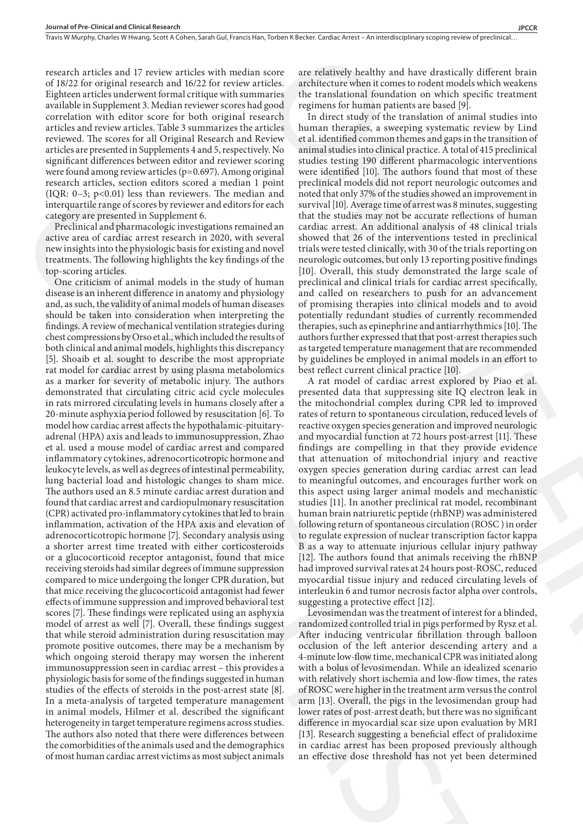research articles and 17 review articles with median score of 18/22 for original research and 16/22 for review articles. Eighteen articles underwent formal critique with summaries available in Supplement 3. Median reviewer scores had good correlation with editor score for both original research articles and review articles. Table 3 summarizes the articles reviewed. The scores for all Original Research and Review articles are presented in Supplements 4 and 5, respectively. No significant differences between editor and reviewer scoring were found among review articles (p=0.697). Among original research articles, section editors scored a median 1 point (IQR: 0–3; p<0.01) less than reviewers. The median and interquartile range of scores by reviewer and editors for each category are presented in Supplement 6.

Preclinical and pharmacologic investigations remained an active area of cardiac arrest research in 2020, with several new insights into the physiologic basis for existing and novel treatments. The following highlights the key findings of the top-scoring articles.

One criticism of animal models in the study of human disease is an inherent difference in anatomy and physiology and, as such, the validity of animal models of human diseases should be taken into consideration when interpreting the findings. A review of mechanical ventilation strategies during chest compressions by Orso et al., which included the results of both clinical and animal models, highlights this discrepancy [5]. Shoaib et al. sought to describe the most appropriate rat model for cardiac arrest by using plasma metabolomics as a marker for severity of metabolic injury. The authors demonstrated that circulating citric acid cycle molecules in rats mirrored circulating levels in humans closely after a 20-minute asphyxia period followed by resuscitation [6]. To model how cardiac arrest affects the hypothalamic-pituitaryadrenal (HPA) axis and leads to immunosuppression, Zhao et al. used a mouse model of cardiac arrest and compared inflammatory cytokines, adrenocorticotropic hormone and leukocyte levels, as well as degrees of intestinal permeability, lung bacterial load and histologic changes to sham mice. The authors used an 8.5 minute cardiac arrest duration and found that cardiac arrest and cardiopulmonary resuscitation (CPR) activated pro-inflammatory cytokines that led to brain inflammation, activation of the HPA axis and elevation of adrenocorticotropic hormone [7]. Secondary analysis using a shorter arrest time treated with either corticosteroids or a glucocorticoid receptor antagonist, found that mice receiving steroids had similar degrees of immune suppression compared to mice undergoing the longer CPR duration, but that mice receiving the glucocorticoid antagonist had fewer effects of immune suppression and improved behavioral test scores [7]. These findings were replicated using an asphyxia model of arrest as well [7]. Overall, these findings suggest that while steroid administration during resuscitation may promote positive outcomes, there may be a mechanism by which ongoing steroid therapy may worsen the inherent immunosuppression seen in cardiac arrest – this provides a physiologic basis for some of the findings suggested in human studies of the effects of steroids in the post-arrest state [8]. In a meta-analysis of targeted temperature management in animal models, Hilmer et al. described the significant heterogeneity in target temperature regimens across studies. The authors also noted that there were differences between the comorbidities of the animals used and the demographics of most human cardiac arrest victims as most subject animals (100, 0.5 - b) and the restores. The restores in the distantive filler of the state in the restore in the restore in the restore in the restore in the restore in the restore in the restore in the restore in the restore in

are relatively healthy and have drastically different brain architecture when it comes to rodent models which weakens the translational foundation on which specific treatment regimens for human patients are based [9].

In direct study of the translation of animal studies into human therapies, a sweeping systematic review by Lind et al. identified common themes and gaps in the transition of animal studies into clinical practice. A total of 415 preclinical studies testing 190 different pharmacologic interventions were identified [10]. The authors found that most of these preclinical models did not report neurologic outcomes and noted that only 37% of the studies showed an improvement in survival [10]. Average time of arrest was 8 minutes, suggesting that the studies may not be accurate reflections of human cardiac arrest. An additional analysis of 48 clinical trials showed that 26 of the interventions tested in preclinical trials were tested clinically, with 30 of the trials reporting on neurologic outcomes, but only 13 reporting positive findings [10]. Overall, this study demonstrated the large scale of preclinical and clinical trials for cardiac arrest specifically, and called on researchers to push for an advancement of promising therapies into clinical models and to avoid potentially redundant studies of currently recommended therapies, such as epinephrine and antiarrhythmics [10]. The authors further expressed that that post-arrest therapies such as targeted temperature management that are recommended by guidelines be employed in animal models in an effort to best reflect current clinical practice [10]. score are relatively healthy and have drastically different brain<br>atests. are<br>friences when trousant on to to the minimal scale in the transition of the<br>function of the constrained in the case of the transition of the func

A rat model of cardiac arrest explored by Piao et al. presented data that suppressing site IQ electron leak in the mitochondrial complex during CPR led to improved rates of return to spontaneous circulation, reduced levels of reactive oxygen species generation and improved neurologic and myocardial function at 72 hours post-arrest [11]. These findings are compelling in that they provide evidence that attenuation of mitochondrial injury and reactive oxygen species generation during cardiac arrest can lead to meaningful outcomes, and encourages further work on this aspect using larger animal models and mechanistic studies [11]. In another preclinical rat model, recombinant human brain natriuretic peptide (rhBNP) was administered following return of spontaneous circulation (ROSC ) in order to regulate expression of nuclear transcription factor kappa B as a way to attenuate injurious cellular injury pathway [12]. The authors found that animals receiving the rhBNP had improved survival rates at 24 hours post-ROSC, reduced myocardial tissue injury and reduced circulating levels of interleukin 6 and tumor necrosis factor alpha over controls, suggesting a protective effect [12].

Levosimendan was the treatment of interest for a blinded, randomized controlled trial in pigs performed by Rysz et al. After inducing ventricular fibrillation through balloon occlusion of the left anterior descending artery and a 4-minute low-flow time, mechanical CPR was initiated along with a bolus of levosimendan. While an idealized scenario with relatively short ischemia and low-flow times, the rates of ROSC were higher in the treatment arm versus the control arm [13]. Overall, the pigs in the levosimendan group had lower rates of post-arrest death, but there was no significant difference in myocardial scar size upon evaluation by MRI [13]. Research suggesting a beneficial effect of pralidoxime in cardiac arrest has been proposed previously although an effective dose threshold has not yet been determined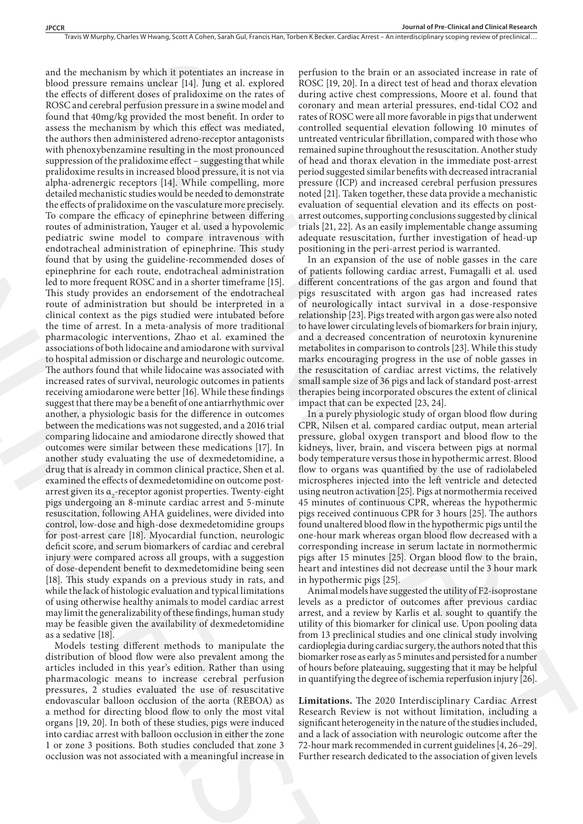and the mechanism by which it potentiates an increase in blood pressure remains unclear [14]. Jung et al. explored the effects of different doses of pralidoxime on the rates of ROSC and cerebral perfusion pressure in a swine model and found that 40mg/kg provided the most benefit. In order to assess the mechanism by which this effect was mediated, the authors then administered adreno-receptor antagonists with phenoxybenzamine resulting in the most pronounced suppression of the pralidoxime effect – suggesting that while pralidoxime results in increased blood pressure, it is not via alpha-adrenergic receptors [14]. While compelling, more detailed mechanistic studies would be needed to demonstrate the effects of pralidoxime on the vasculature more precisely. To compare the efficacy of epinephrine between differing routes of administration, Yauger et al. used a hypovolemic pediatric swine model to compare intravenous with endotracheal administration of epinephrine. This study found that by using the guideline-recommended doses of epinephrine for each route, endotracheal administration led to more frequent ROSC and in a shorter timeframe [15]. This study provides an endorsement of the endotracheal route of administration but should be interpreted in a clinical context as the pigs studied were intubated before the time of arrest. In a meta-analysis of more traditional pharmacologic interventions, Zhao et al. examined the associations of both lidocaine and amiodarone with survival to hospital admission or discharge and neurologic outcome. The authors found that while lidocaine was associated with increased rates of survival, neurologic outcomes in patients receiving amiodarone were better [16]. While these findings suggest that there may be a benefit of one antiarrhythmic over another, a physiologic basis for the difference in outcomes between the medications was not suggested, and a 2016 trial comparing lidocaine and amiodarone directly showed that outcomes were similar between these medications [17]. In another study evaluating the use of dexmedetomidine, a drug that is already in common clinical practice, Shen et al. examined the effects of dexmedetomidine on outcome postarrest given its  $a_2$ -receptor agonist properties. Twenty-eight pigs undergoing an 8-minute cardiac arrest and 5-minute resuscitation, following AHA guidelines, were divided into control, low-dose and high-dose dexmedetomidine groups for post-arrest care [18]. Myocardial function, neurologic deficit score, and serum biomarkers of cardiac and cerebral injury were compared across all groups, with a suggestion of dose-dependent benefit to dexmedetomidine being seen [18]. This study expands on a previous study in rats, and while the lack of histologic evaluation and typical limitations of using otherwise healthy animals to model cardiac arrest may limit the generalizability of these findings, human study may be feasible given the availability of dexmedetomidine as a sedative [18]. on by which it protestines are increase in pertision to the brain or m associated account in rate of the state of the first of the state of the state of the state of the state of the state of the state of the state of the detailed mechanistic studies would be needed to demonstrate noise (2) compare the effects of prailed<br>oxiers on the vasculature more precisely. evaluation to the stream the vasculation of the stream different of<br>the course

Models testing different methods to manipulate the distribution of blood flow were also prevalent among the articles included in this year's edition. Rather than using pharmacologic means to increase cerebral perfusion pressures, 2 studies evaluated the use of resuscitative endovascular balloon occlusion of the aorta (REBOA) as a method for directing blood flow to only the most vital organs [19, 20]. In both of these studies, pigs were induced into cardiac arrest with balloon occlusion in either the zone 1 or zone 3 positions. Both studies concluded that zone 3 occlusion was not associated with a meaningful increase in

perfusion to the brain or an associated increase in rate of ROSC [19, 20]. In a direct test of head and thorax elevation during active chest compressions, Moore et al. found that coronary and mean arterial pressures, end-tidal CO2 and rates of ROSC were all more favorable in pigs that underwent controlled sequential elevation following 10 minutes of untreated ventricular fibrillation, compared with those who remained supine throughout the resuscitation. Another study of head and thorax elevation in the immediate post-arrest period suggested similar benefits with decreased intracranial pressure (ICP) and increased cerebral perfusion pressures noted [21]. Taken together, these data provide a mechanistic evaluation of sequential elevation and its effects on postarrest outcomes, supporting conclusions suggested by clinical trials [21, 22]. As an easily implementable change assuming adequate resuscitation, further investigation of head-up positioning in the peri-arrest period is warranted.

In an expansion of the use of noble gasses in the care of patients following cardiac arrest, Fumagalli et al. used different concentrations of the gas argon and found that pigs resuscitated with argon gas had increased rates of neurologically intact survival in a dose-responsive relationship [23]. Pigs treated with argon gas were also noted to have lower circulating levels of biomarkers for brain injury, and a decreased concentration of neurotoxin kynurenine metabolites in comparison to controls [23]. While this study marks encouraging progress in the use of noble gasses in the resuscitation of cardiac arrest victims, the relatively small sample size of 36 pigs and lack of standard post-arrest therapies being incorporated obscures the extent of clinical impact that can be expected [23, 24].

In a purely physiologic study of organ blood flow during CPR, Nilsen et al. compared cardiac output, mean arterial pressure, global oxygen transport and blood flow to the kidneys, liver, brain, and viscera between pigs at normal body temperature versus those in hypothermic arrest. Blood flow to organs was quantified by the use of radiolabeled microspheres injected into the left ventricle and detected using neutron activation [25]. Pigs at normothermia received 45 minutes of continuous CPR, whereas the hypothermic pigs received continuous CPR for 3 hours [25]. The authors found unaltered blood flow in the hypothermic pigs until the one-hour mark whereas organ blood flow decreased with a corresponding increase in serum lactate in normothermic pigs after 15 minutes [25]. Organ blood flow to the brain, heart and intestines did not decrease until the 3 hour mark in hypothermic pigs [25].

Animal models have suggested the utility of F2-isoprostane levels as a predictor of outcomes after previous cardiac arrest, and a review by Karlis et al. sought to quantify the utility of this biomarker for clinical use. Upon pooling data from 13 preclinical studies and one clinical study involving cardioplegia during cardiac surgery, the authors noted that this biomarker rose as early as 5 minutes and persisted for a number of hours before plateauing, suggesting that it may be helpful in quantifying the degree of ischemia reperfusion injury [26].

**Limitations.** The 2020 Interdisciplinary Cardiac Arrest Research Review is not without limitation, including a significant heterogeneity in the nature of the studies included, and a lack of association with neurologic outcome after the 72-hour mark recommended in current guidelines [4, 26–29]. Further research dedicated to the association of given levels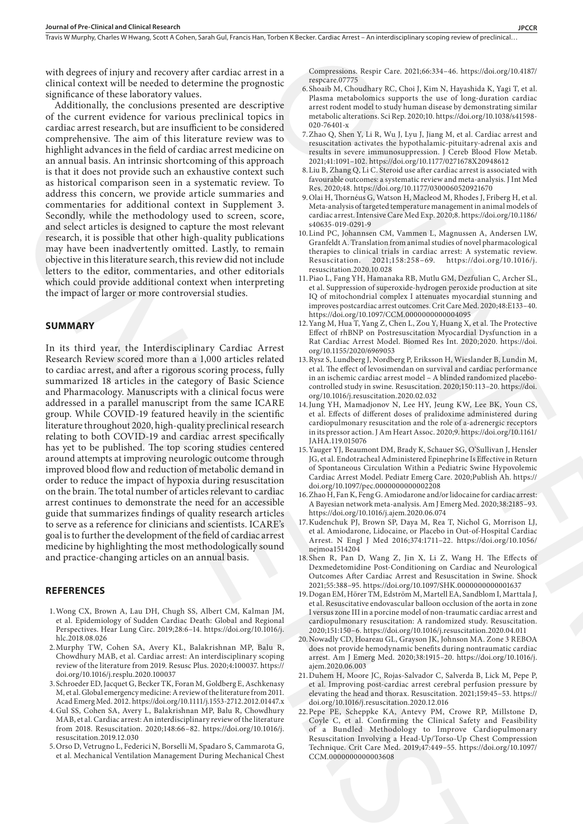with degrees of injury and recovery after cardiac arrest in a clinical context will be needed to determine the prognostic significance of these laboratory values.

Additionally, the conclusions presented are descriptive of the current evidence for various preclinical topics in cardiac arrest research, but are insufficient to be considered comprehensive. The aim of this literature review was to highlight advances in the field of cardiac arrest medicine on an annual basis. An intrinsic shortcoming of this approach is that it does not provide such an exhaustive context such as historical comparison seen in a systematic review. To address this concern, we provide article summaries and commentaries for additional context in Supplement 3. Secondly, while the methodology used to screen, score, and select articles is designed to capture the most relevant research, it is possible that other high-quality publications may have been inadvertently omitted. Lastly, to remain objective in this literature search, this review did not include letters to the editor, commentaries, and other editorials which could provide additional context when interpreting the impact of larger or more controversial studies.

#### **SUMMARY**

In its third year, the Interdisciplinary Cardiac Arrest Research Review scored more than a 1,000 articles related to cardiac arrest, and after a rigorous scoring process, fully summarized 18 articles in the category of Basic Science and Pharmacology. Manuscripts with a clinical focus were addressed in a parallel manuscript from the same ICARE group. While COVID-19 featured heavily in the scientific literature throughout 2020, high-quality preclinical research relating to both COVID-19 and cardiac arrest specifically has yet to be published. The top scoring studies centered around attempts at improving neurologic outcome through improved blood flow and reduction of metabolic demand in order to reduce the impact of hypoxia during resuscitation on the brain. The total number of articles relevant to cardiac arrest continues to demonstrate the need for an accessible guide that summarizes findings of quality research articles to serve as a reference for clinicians and scientists. ICARE's goal is to further the development of the field of cardiac arrest medicine by highlighting the most methodologically sound and practice-changing articles on an annual basis. solution this means the provide state summation in the latter that is summative to the state of the state of the state of the state of the state of the state of the state of the state of the state of the state of the stat

## **REFERENCES**

- 1.Wong CX, Brown A, Lau DH, Chugh SS, Albert CM, Kalman JM, et al. Epidemiology of Sudden Cardiac Death: Global and Regional Perspectives. Hear Lung Circ. 2019;28:6–14. https://doi.org/10.1016/j. hlc.2018.08.026
- 2.Murphy TW, Cohen SA, Avery KL, Balakrishnan MP, Balu R, Chowdhury MAB, et al. Cardiac arrest: An interdisciplinary scoping review of the literature from 2019. Resusc Plus. 2020;4:100037. https:// doi.org/10.1016/j.resplu.2020.100037
- 3.Schroeder ED, Jacquet G, Becker TK, Foran M, Goldberg E, Aschkenasy M, et al. Global emergency medicine: A review of the literature from 2011. Acad Emerg Med. 2012. https://doi.org/10.1111/j.1553-2712.2012.01447.x
- 4.Gul SS, Cohen SA, Avery L, Balakrishnan MP, Balu R, Chowdhury MAB, et al. Cardiac arrest: An interdisciplinary review of the literature from 2018. Resuscitation. 2020;148:66–82. https://doi.org/10.1016/j. resuscitation.2019.12.030
- 5.Orso D, Vetrugno L, Federici N, Borselli M, Spadaro S, Cammarota G, et al. Mechanical Ventilation Management During Mechanical Chest

Compressions. Respir Care. 2021;66:334–46. https://doi.org/10.4187/ respcare.07775

- 6.Shoaib M, Choudhary RC, Choi J, Kim N, Hayashida K, Yagi T, et al. Plasma metabolomics supports the use of long-duration cardiac arrest rodent model to study human disease by demonstrating similar metabolic alterations. Sci Rep. 2020;10. https://doi.org/10.1038/s41598- 020-76401-x
- 7.Zhao Q, Shen Y, Li R, Wu J, Lyu J, Jiang M, et al. Cardiac arrest and resuscitation activates the hypothalamic-pituitary-adrenal axis and results in severe immunosuppression. J Cereb Blood Flow Metab. 2021;41:1091–102. https://doi.org/10.1177/0271678X20948612
- 8.Liu B, Zhang Q, Li C. Steroid use after cardiac arrest is associated with favourable outcomes: a systematic review and meta-analysis. J Int Med Res. 2020;48. https://doi.org/10.1177/0300060520921670
- 9.Olai H, Thornéus G, Watson H, Macleod M, Rhodes J, Friberg H, et al. Meta-analysis of targeted temperature management in animal models of cardiac arrest. Intensive Care Med Exp. 2020;8. https://doi.org/10.1186/ s40635-019-0291-9
- 10.Lind PC, Johannsen CM, Vammen L, Magnussen A, Andersen LW, Granfeldt A. Translation from animal studies of novel pharmacological therapies to clinical trials in cardiac arrest: A systematic review.<br>Resuscitation. 2021;158:258-69. https://doi.org/10.1016/j. 2021;158:258-69. https://doi.org/10.1016/j. resuscitation.2020.10.028
- 11.Piao L, Fang YH, Hamanaka RB, Mutlu GM, Dezfulian C, Archer SL, et al. Suppression of superoxide-hydrogen peroxide production at site IQ of mitochondrial complex I attenuates myocardial stunning and improves postcardiac arrest outcomes. Crit Care Med. 2020;48:E133–40. https://doi.org/10.1097/CCM.0000000000004095
- 12.Yang M, Hua T, Yang Z, Chen L, Zou Y, Huang X, et al. The Protective Effect of rhBNP on Postresuscitation Myocardial Dysfunction in a Rat Cardiac Arrest Model. Biomed Res Int. 2020;2020. https://doi. org/10.1155/2020/6969053
- 13.Rysz S, Lundberg J, Nordberg P, Eriksson H, Wieslander B, Lundin M, et al. The effect of levosimendan on survival and cardiac performance in an ischemic cardiac arrest model – A blinded randomized placebocontrolled study in swine. Resuscitation. 2020;150:113–20. https://doi. org/10.1016/j.resuscitation.2020.02.032
- 14.Jung YH, Mamadjonov N, Lee HY, Jeung KW, Lee BK, Youn CS, et al. Effects of different doses of pralidoxime administered during cardiopulmonary resuscitation and the role of a-adrenergic receptors in its pressor action. J Am Heart Assoc. 2020;9. https://doi.org/10.1161/ JAHA.119.015076
- 15.Yauger YJ, Beaumont DM, Brady K, Schauer SG, O'Sullivan J, Hensler JG, et al. Endotracheal Administered Epinephrine Is Effective in Return of Spontaneous Circulation Within a Pediatric Swine Hypovolemic Cardiac Arrest Model. Pediatr Emerg Care. 2020;Publish Ah. https:// doi.org/10.1097/pec.0000000000002208
- 16.Zhao H, Fan K, Feng G. Amiodarone and/or lidocaine for cardiac arrest: A Bayesian network meta-analysis. Am J Emerg Med. 2020;38:2185–93. https://doi.org/10.1016/j.ajem.2020.06.074
- 17.Kudenchuk PJ, Brown SP, Daya M, Rea T, Nichol G, Morrison LJ, et al. Amiodarone, Lidocaine, or Placebo in Out-of-Hospital Cardiac Arrest. N Engl J Med 2016;374:1711–22. https://doi.org/10.1056/ nejmoa1514204
- 18.Shen R, Pan D, Wang Z, Jin X, Li Z, Wang H. The Effects of Dexmedetomidine Post-Conditioning on Cardiac and Neurological Outcomes After Cardiac Arrest and Resuscitation in Swine. Shock 2021;55:388–95. https://doi.org/10.1097/SHK.0000000000001637
- 19.Dogan EM, Hörer TM, Edström M, Martell EA, Sandblom I, Marttala J, et al. Resuscitative endovascular balloon occlusion of the aorta in zone I versus zone III in a porcine model of non-traumatic cardiac arrest and cardiopulmonary resuscitation: A randomized study. Resuscitation. 2020;151:150–6. https://doi.org/10.1016/j.resuscitation.2020.04.011
- 20.Nowadly CD, Hoareau GL, Grayson JK, Johnson MA. Zone 3 REBOA does not provide hemodynamic benefits during nontraumatic cardiac arrest. Am J Emerg Med. 2020;38:1915–20. https://doi.org/10.1016/j. ajem.2020.06.003
- 21.Duhem H, Moore JC, Rojas-Salvador C, Salverda B, Lick M, Pepe P, et al. Improving post-cardiac arrest cerebral perfusion pressure by elevating the head and thorax. Resuscitation. 2021;159:45–53. https:// doi.org/10.1016/j.resuscitation.2020.12.016
- 22.Pepe PE, Scheppke KA, Antevy PM, Crowe RP, Millstone D, Coyle C, et al. Confirming the Clinical Safety and Feasibility of a Bundled Methodology to Improve Cardiopulmonary Resuscitation Involving a Head-Up/Torso-Up Chest Compression Technique. Crit Care Med. 2019;47:449–55. https://doi.org/10.1097/ CCM.0000000000003608 If in a Googleesian, Respit Care, 2021:68:334-46: Istip-26bloog-170.4187/<br>
(meaning Constraints) Respit Care, 2021:68:34-46: Istip-26bloog-170.4187<br>
(a Shana M, Gaushlary Re, Clos) I, Xm N, Italyahia, K. Yayi Ter ei, Clos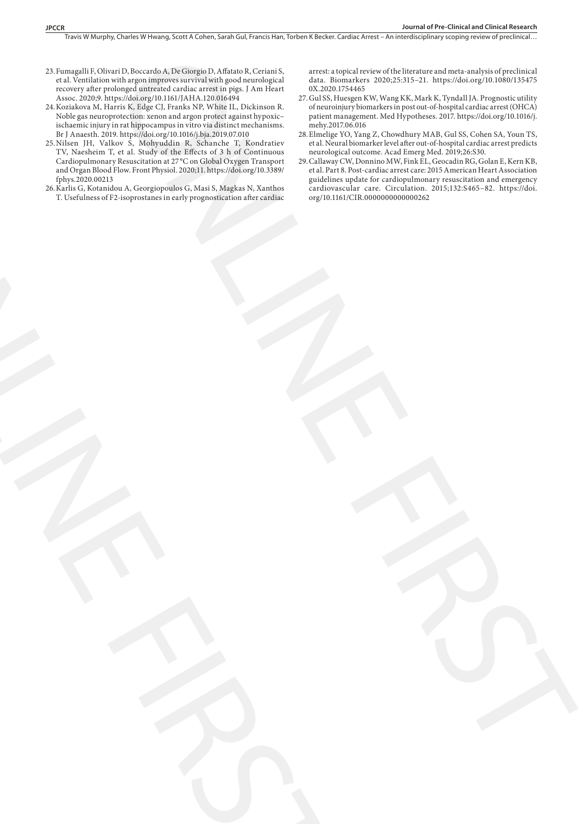Travis W Murphy, Charles W Hwang, Scott A Cohen, Sarah Gul, Francis Han, Torben K Becker. Cardiac Arrest - An interdisciplinary scoping review of preclinical...

- 23.Fumagalli F, Olivari D, Boccardo A, De Giorgio D, Affatato R, Ceriani S, et al. Ventilation with argon improves survival with good neurological recovery after prolonged untreated cardiac arrest in pigs. J Am Heart Assoc. 2020;9. https://doi.org/10.1161/JAHA.120.016494
- 24.Koziakova M, Harris K, Edge CJ, Franks NP, White IL, Dickinson R. Noble gas neuroprotection: xenon and argon protect against hypoxic– ischaemic injury in rat hippocampus in vitro via distinct mechanisms. Br J Anaesth. 2019. https://doi.org/10.1016/j.bja.2019.07.010
- 25.Nilsen JH, Valkov S, Mohyuddin R, Schanche T, Kondratiev TV, Naesheim T, et al. Study of the Effects of 3 h of Continuous Cardiopulmonary Resuscitation at 27 °C on Global Oxygen Transport and Organ Blood Flow. Front Physiol. 2020;11. https://doi.org/10.3389/ fphys.2020.00213
- 26.Karlis G, Kotanidou A, Georgiopoulos G, Masi S, Magkas N, Xanthos T. Usefulness of F2-isoprostanes in early prognostication after cardiac ONLINE FIRST

arrest: a topical review of the literature and meta-analysis of preclinical data. Biomarkers 2020;25:315–21. https://doi.org/10.1080/135475 0X.2020.1754465

- 27.Gul SS, Huesgen KW, Wang KK, Mark K, Tyndall JA. Prognostic utility of neuroinjury biomarkers in post out-of-hospital cardiac arrest (OHCA) patient management. Med Hypotheses. 2017. https://doi.org/10.1016/j. mehy.2017.06.016
- 28.Elmelige YO, Yang Z, Chowdhury MAB, Gul SS, Cohen SA, Youn TS, et al. Neural biomarker level after out-of-hospital cardiac arrest predicts neurological outcome. Acad Emerg Med. 2019;26:S30.
- 29.Callaway CW, Donnino MW, Fink EL, Geocadin RG, Golan E, Kern KB, et al. Part 8. Post-cardiac arrest care: 2015 American Heart Association guidelines update for cardiopulmonary resuscitation and emergency cardiovascular care. Circulation. 2015;132:S465–82. https://doi. org/10.1161/CIR.0000000000000262 ENERGY SERIES